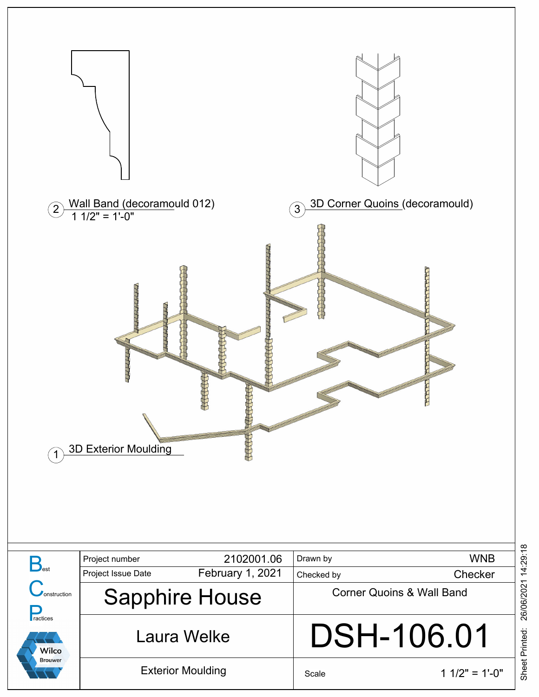